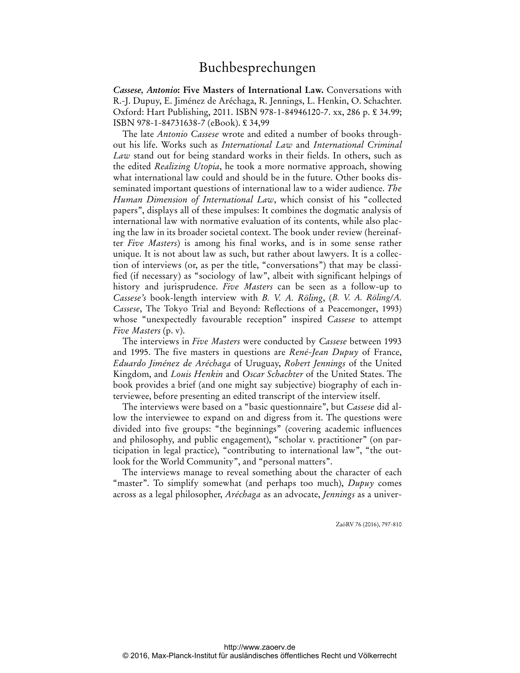*Cassese, Antonio***: Five Masters of International Law.** Conversations with R.-J. Dupuy, E. Jiménez de Aréchaga, R. Jennings, L. Henkin, O. Schachter. Oxford: Hart Publishing, 2011. ISBN 978-1-84946120-7. xx, 286 p. £ 34.99; ISBN 978-1-84731638-7 (eBook). £ 34,99

The late *Antonio Cassese* wrote and edited a number of books throughout his life. Works such as *International Law* and *International Criminal Law* stand out for being standard works in their fields. In others, such as the edited *Realizing Utopia*, he took a more normative approach, showing what international law could and should be in the future. Other books disseminated important questions of international law to a wider audience. *The Human Dimension of International Law*, which consist of his "collected papers", displays all of these impulses: It combines the dogmatic analysis of international law with normative evaluation of its contents, while also placing the law in its broader societal context. The book under review (hereinafter *Five Masters*) is among his final works, and is in some sense rather unique. It is not about law as such, but rather about lawyers. It is a collection of interviews (or, as per the title, "conversations") that may be classified (if necessary) as "sociology of law", albeit with significant helpings of history and jurisprudence. *Five Masters* can be seen as a follow-up to *Cassese's* book-length interview with *B. V. A. Röling*, (*B. V. A. Röling/A. Cassese*, The Tokyo Trial and Beyond: Reflections of a Peacemonger, 1993) whose "unexpectedly favourable reception" inspired *Cassese* to attempt *Five Masters* (p. v).

The interviews in *Five Masters* were conducted by *Cassese* between 1993 and 1995. The five masters in questions are *René-Jean Dupuy* of France, *Eduardo Jiménez de Aréchaga* of Uruguay, *Robert Jennings* of the United Kingdom, and *Louis Henkin* and *Oscar Schachter* of the United States. The book provides a brief (and one might say subjective) biography of each interviewee, before presenting an edited transcript of the interview itself.

The interviews were based on a "basic questionnaire", but *Cassese* did allow the interviewee to expand on and digress from it. The questions were divided into five groups: "the beginnings" (covering academic influences and philosophy, and public engagement), "scholar v. practitioner" (on participation in legal practice), "contributing to international law", "the outlook for the World Community", and "personal matters".

The interviews manage to reveal something about the character of each "master". To simplify somewhat (and perhaps too much), *Dupuy* comes across as a legal philosopher, *Aréchaga* as an advocate, *Jennings* as a univer-

ZaöRV 76 (2016), 797-810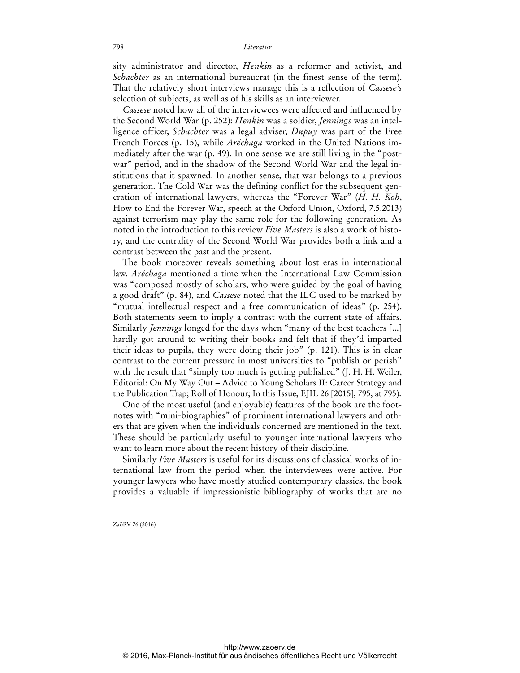sity administrator and director, *Henkin* as a reformer and activist, and *Schachter* as an international bureaucrat (in the finest sense of the term). That the relatively short interviews manage this is a reflection of *Cassese's* selection of subjects, as well as of his skills as an interviewer.

*Cassese* noted how all of the interviewees were affected and influenced by the Second World War (p. 252): *Henkin* was a soldier, *Jennings* was an intelligence officer, *Schachter* was a legal adviser, *Dupuy* was part of the Free French Forces (p. 15), while *Aréchaga* worked in the United Nations immediately after the war (p. 49). In one sense we are still living in the "postwar" period, and in the shadow of the Second World War and the legal institutions that it spawned. In another sense, that war belongs to a previous generation. The Cold War was the defining conflict for the subsequent generation of international lawyers, whereas the "Forever War" (*H. H. Koh*, How to End the Forever War, speech at the Oxford Union, Oxford, 7.5.2013) against terrorism may play the same role for the following generation. As noted in the introduction to this review *Five Masters* is also a work of history, and the centrality of the Second World War provides both a link and a contrast between the past and the present.

The book moreover reveals something about lost eras in international law. *Aréchaga* mentioned a time when the International Law Commission was "composed mostly of scholars, who were guided by the goal of having a good draft" (p. 84), and *Cassese* noted that the ILC used to be marked by "mutual intellectual respect and a free communication of ideas" (p. 254). Both statements seem to imply a contrast with the current state of affairs. Similarly *Jennings* longed for the days when "many of the best teachers [...] hardly got around to writing their books and felt that if they'd imparted their ideas to pupils, they were doing their job" (p. 121). This is in clear contrast to the current pressure in most universities to "publish or perish" with the result that "simply too much is getting published" (J. H. H. Weiler, Editorial: On My Way Out – Advice to Young Scholars II: Career Strategy and the Publication Trap; Roll of Honour; In this Issue, EJIL 26 [2015], 795, at 795).

One of the most useful (and enjoyable) features of the book are the footnotes with "mini-biographies" of prominent international lawyers and others that are given when the individuals concerned are mentioned in the text. These should be particularly useful to younger international lawyers who want to learn more about the recent history of their discipline.

Similarly *Five Masters* is useful for its discussions of classical works of international law from the period when the interviewees were active. For younger lawyers who have mostly studied contemporary classics, the book provides a valuable if impressionistic bibliography of works that are no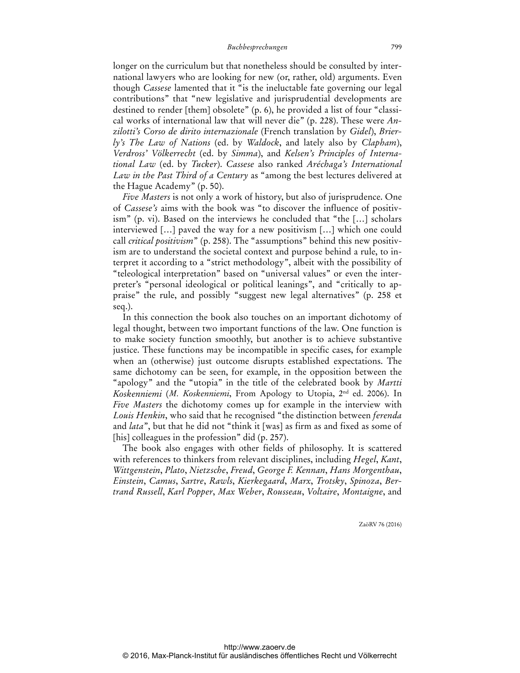longer on the curriculum but that nonetheless should be consulted by international lawyers who are looking for new (or, rather, old) arguments. Even though *Cassese* lamented that it "is the ineluctable fate governing our legal contributions" that "new legislative and jurisprudential developments are destined to render [them] obsolete" (p. 6), he provided a list of four "classical works of international law that will never die" (p. 228). These were *Anzilotti's Corso de dirito internazionale* (French translation by *Gidel*), *Brierly's The Law of Nations* (ed. by *Waldock*, and lately also by *Clapham*), *Verdross' Völkerrecht* (ed. by *Simma*), and *Kelsen's Principles of International Law* (ed. by *Tucker*). *Cassese* also ranked *Aréchaga's International Law in the Past Third of a Century* as "among the best lectures delivered at the Hague Academy" (p. 50).

*Five Masters* is not only a work of history, but also of jurisprudence. One of *Cassese's* aims with the book was "to discover the influence of positivism" (p. vi). Based on the interviews he concluded that "the […] scholars interviewed […] paved the way for a new positivism […] which one could call *critical positivism*" (p. 258). The "assumptions" behind this new positivism are to understand the societal context and purpose behind a rule, to interpret it according to a "strict methodology", albeit with the possibility of "teleological interpretation" based on "universal values" or even the interpreter's "personal ideological or political leanings", and "critically to appraise" the rule, and possibly "suggest new legal alternatives" (p. 258 et seq.).

In this connection the book also touches on an important dichotomy of legal thought, between two important functions of the law. One function is to make society function smoothly, but another is to achieve substantive justice. These functions may be incompatible in specific cases, for example when an (otherwise) just outcome disrupts established expectations. The same dichotomy can be seen, for example, in the opposition between the "apology" and the "utopia" in the title of the celebrated book by *Martti Koskenniemi* (*M. Koskenniemi*, From Apology to Utopia, 2nd ed. 2006). In *Five Masters* the dichotomy comes up for example in the interview with *Louis Henkin*, who said that he recognised "the distinction between *ferenda*  and *lata*", but that he did not "think it [was] as firm as and fixed as some of [his] colleagues in the profession" did (p. 257).

The book also engages with other fields of philosophy. It is scattered with references to thinkers from relevant disciplines, including *Hegel*, *Kant*, *Wittgenstein*, *Plato*, *Nietzsche*, *Freud*, *George F. Kennan*, *Hans Morgenthau*, *Einstein*, *Camus*, *Sartre*, *Rawls*, *Kierkegaard*, *Marx*, *Trotsky*, *Spinoza*, *Bertrand Russell*, *Karl Popper*, *Max Weber*, *Rousseau*, *Voltaire*, *Montaigne*, and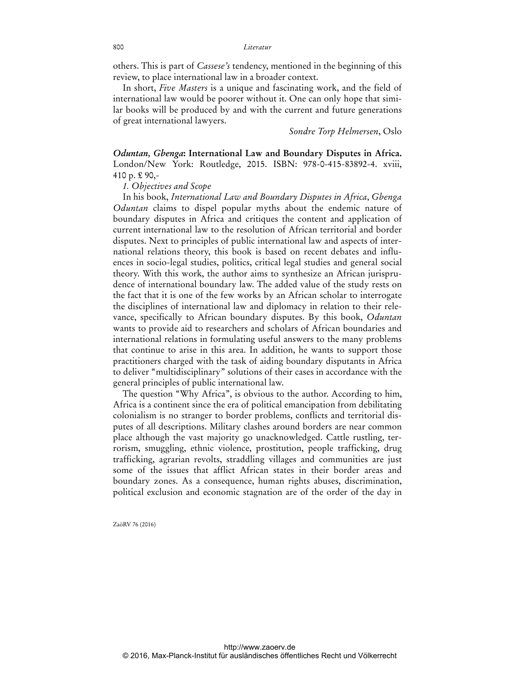others. This is part of *Cassese's* tendency, mentioned in the beginning of this review, to place international law in a broader context.

In short, *Five Masters* is a unique and fascinating work, and the field of international law would be poorer without it. One can only hope that similar books will be produced by and with the current and future generations of great international lawyers.

*Sondre Torp Helmersen*, Oslo

*Oduntan, Gbenga***: International Law and Boundary Disputes in Africa.** London/New York: Routledge, 2015. ISBN: 978-0-415-83892-4. xviii, 410 p. £ 90,-

*1. Objectives and Scope*

In his book, *International Law and Boundary Disputes in Africa*, *Gbenga Oduntan* claims to dispel popular myths about the endemic nature of boundary disputes in Africa and critiques the content and application of current international law to the resolution of African territorial and border disputes. Next to principles of public international law and aspects of international relations theory, this book is based on recent debates and influences in socio-legal studies, politics, critical legal studies and general social theory. With this work, the author aims to synthesize an African jurisprudence of international boundary law. The added value of the study rests on the fact that it is one of the few works by an African scholar to interrogate the disciplines of international law and diplomacy in relation to their relevance, specifically to African boundary disputes. By this book, *Oduntan* wants to provide aid to researchers and scholars of African boundaries and international relations in formulating useful answers to the many problems that continue to arise in this area. In addition, he wants to support those practitioners charged with the task of aiding boundary disputants in Africa to deliver "multidisciplinary" solutions of their cases in accordance with the general principles of public international law.

The question "Why Africa", is obvious to the author. According to him, Africa is a continent since the era of political emancipation from debilitating colonialism is no stranger to border problems, conflicts and territorial disputes of all descriptions. Military clashes around borders are near common place although the vast majority go unacknowledged. Cattle rustling, terrorism, smuggling, ethnic violence, prostitution, people trafficking, drug trafficking, agrarian revolts, straddling villages and communities are just some of the issues that afflict African states in their border areas and boundary zones. As a consequence, human rights abuses, discrimination, political exclusion and economic stagnation are of the order of the day in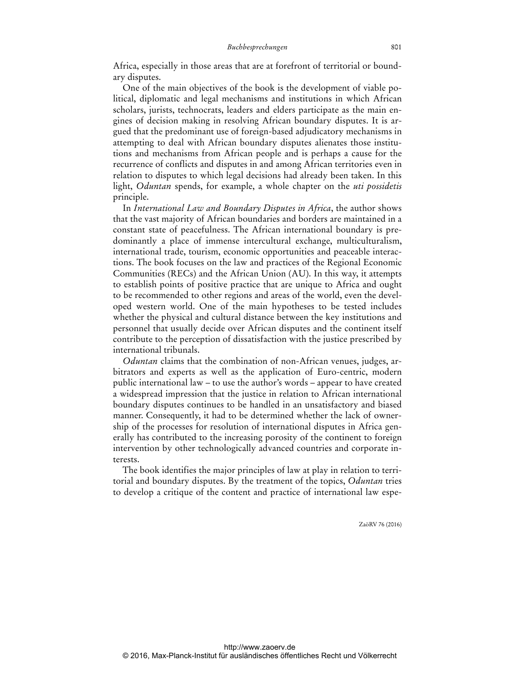Africa, especially in those areas that are at forefront of territorial or boundary disputes.

One of the main objectives of the book is the development of viable political, diplomatic and legal mechanisms and institutions in which African scholars, jurists, technocrats, leaders and elders participate as the main engines of decision making in resolving African boundary disputes. It is argued that the predominant use of foreign-based adjudicatory mechanisms in attempting to deal with African boundary disputes alienates those institutions and mechanisms from African people and is perhaps a cause for the recurrence of conflicts and disputes in and among African territories even in relation to disputes to which legal decisions had already been taken. In this light, *Oduntan* spends, for example, a whole chapter on the *uti possidetis* principle.

In *International Law and Boundary Disputes in Africa*, the author shows that the vast majority of African boundaries and borders are maintained in a constant state of peacefulness. The African international boundary is predominantly a place of immense intercultural exchange, multiculturalism, international trade, tourism, economic opportunities and peaceable interactions. The book focuses on the law and practices of the Regional Economic Communities (RECs) and the African Union (AU). In this way, it attempts to establish points of positive practice that are unique to Africa and ought to be recommended to other regions and areas of the world, even the developed western world. One of the main hypotheses to be tested includes whether the physical and cultural distance between the key institutions and personnel that usually decide over African disputes and the continent itself contribute to the perception of dissatisfaction with the justice prescribed by international tribunals.

*Oduntan* claims that the combination of non-African venues, judges, arbitrators and experts as well as the application of Euro-centric, modern public international law – to use the author's words – appear to have created a widespread impression that the justice in relation to African international boundary disputes continues to be handled in an unsatisfactory and biased manner. Consequently, it had to be determined whether the lack of ownership of the processes for resolution of international disputes in Africa generally has contributed to the increasing porosity of the continent to foreign intervention by other technologically advanced countries and corporate interests.

The book identifies the major principles of law at play in relation to territorial and boundary disputes. By the treatment of the topics, *Oduntan* tries to develop a critique of the content and practice of international law espe-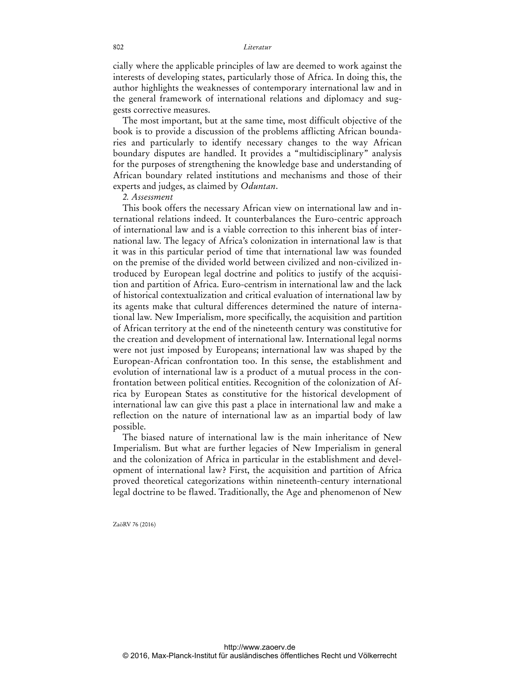cially where the applicable principles of law are deemed to work against the interests of developing states, particularly those of Africa. In doing this, the author highlights the weaknesses of contemporary international law and in the general framework of international relations and diplomacy and suggests corrective measures.

The most important, but at the same time, most difficult objective of the book is to provide a discussion of the problems afflicting African boundaries and particularly to identify necessary changes to the way African boundary disputes are handled. It provides a "multidisciplinary" analysis for the purposes of strengthening the knowledge base and understanding of African boundary related institutions and mechanisms and those of their experts and judges, as claimed by *Oduntan*.

#### *2. Assessment*

This book offers the necessary African view on international law and international relations indeed. It counterbalances the Euro-centric approach of international law and is a viable correction to this inherent bias of international law. The legacy of Africa's colonization in international law is that it was in this particular period of time that international law was founded on the premise of the divided world between civilized and non-civilized introduced by European legal doctrine and politics to justify of the acquisition and partition of Africa. Euro-centrism in international law and the lack of historical contextualization and critical evaluation of international law by its agents make that cultural differences determined the nature of international law. New Imperialism, more specifically, the acquisition and partition of African territory at the end of the nineteenth century was constitutive for the creation and development of international law. International legal norms were not just imposed by Europeans; international law was shaped by the European-African confrontation too. In this sense, the establishment and evolution of international law is a product of a mutual process in the confrontation between political entities. Recognition of the colonization of Africa by European States as constitutive for the historical development of international law can give this past a place in international law and make a reflection on the nature of international law as an impartial body of law possible.

The biased nature of international law is the main inheritance of New Imperialism. But what are further legacies of New Imperialism in general and the colonization of Africa in particular in the establishment and development of international law? First, the acquisition and partition of Africa proved theoretical categorizations within nineteenth-century international legal doctrine to be flawed. Traditionally, the Age and phenomenon of New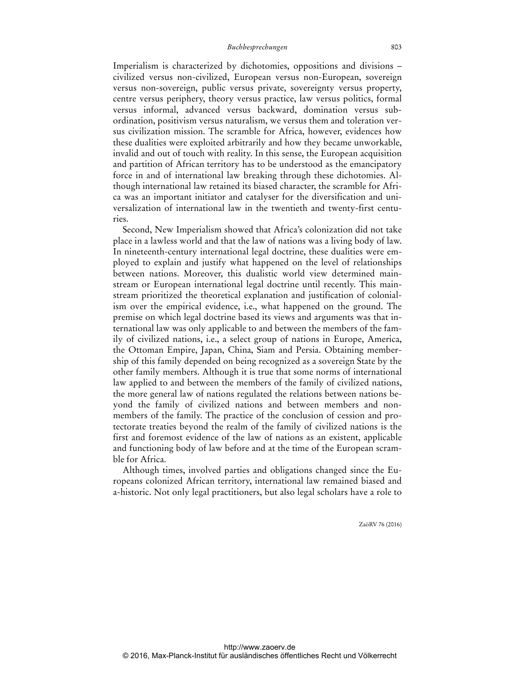Imperialism is characterized by dichotomies, oppositions and divisions – civilized versus non-civilized, European versus non-European, sovereign versus non-sovereign, public versus private, sovereignty versus property, centre versus periphery, theory versus practice, law versus politics, formal versus informal, advanced versus backward, domination versus subordination, positivism versus naturalism, we versus them and toleration versus civilization mission. The scramble for Africa, however, evidences how these dualities were exploited arbitrarily and how they became unworkable, invalid and out of touch with reality. In this sense, the European acquisition and partition of African territory has to be understood as the emancipatory force in and of international law breaking through these dichotomies. Although international law retained its biased character, the scramble for Africa was an important initiator and catalyser for the diversification and universalization of international law in the twentieth and twenty-first centuries.

Second, New Imperialism showed that Africa's colonization did not take place in a lawless world and that the law of nations was a living body of law. In nineteenth-century international legal doctrine, these dualities were employed to explain and justify what happened on the level of relationships between nations. Moreover, this dualistic world view determined mainstream or European international legal doctrine until recently. This mainstream prioritized the theoretical explanation and justification of colonialism over the empirical evidence, i.e., what happened on the ground. The premise on which legal doctrine based its views and arguments was that international law was only applicable to and between the members of the family of civilized nations, i.e., a select group of nations in Europe, America, the Ottoman Empire, Japan, China, Siam and Persia. Obtaining membership of this family depended on being recognized as a sovereign State by the other family members. Although it is true that some norms of international law applied to and between the members of the family of civilized nations, the more general law of nations regulated the relations between nations beyond the family of civilized nations and between members and nonmembers of the family. The practice of the conclusion of cession and protectorate treaties beyond the realm of the family of civilized nations is the first and foremost evidence of the law of nations as an existent, applicable and functioning body of law before and at the time of the European scramble for Africa.

Although times, involved parties and obligations changed since the Europeans colonized African territory, international law remained biased and a-historic. Not only legal practitioners, but also legal scholars have a role to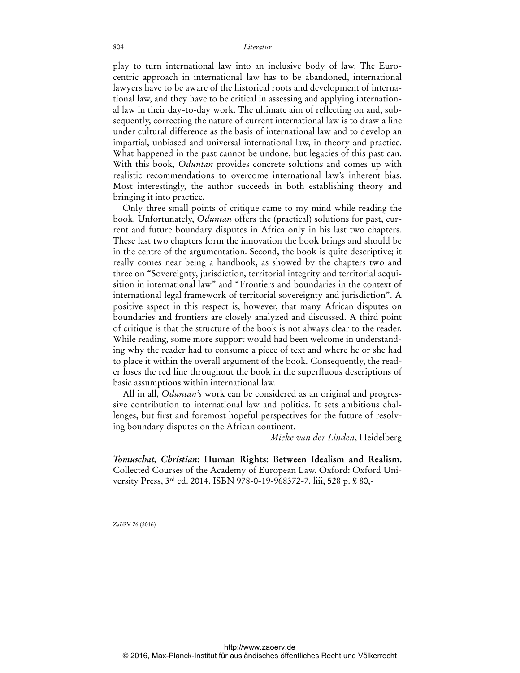#### 804 *Literatur*

play to turn international law into an inclusive body of law. The Eurocentric approach in international law has to be abandoned, international lawyers have to be aware of the historical roots and development of international law, and they have to be critical in assessing and applying international law in their day-to-day work. The ultimate aim of reflecting on and, subsequently, correcting the nature of current international law is to draw a line under cultural difference as the basis of international law and to develop an impartial, unbiased and universal international law, in theory and practice. What happened in the past cannot be undone, but legacies of this past can. With this book, *Oduntan* provides concrete solutions and comes up with realistic recommendations to overcome international law's inherent bias. Most interestingly, the author succeeds in both establishing theory and bringing it into practice.

Only three small points of critique came to my mind while reading the book. Unfortunately, *Oduntan* offers the (practical) solutions for past, current and future boundary disputes in Africa only in his last two chapters. These last two chapters form the innovation the book brings and should be in the centre of the argumentation. Second, the book is quite descriptive; it really comes near being a handbook, as showed by the chapters two and three on "Sovereignty, jurisdiction, territorial integrity and territorial acquisition in international law" and "Frontiers and boundaries in the context of international legal framework of territorial sovereignty and jurisdiction". A positive aspect in this respect is, however, that many African disputes on boundaries and frontiers are closely analyzed and discussed. A third point of critique is that the structure of the book is not always clear to the reader. While reading, some more support would had been welcome in understanding why the reader had to consume a piece of text and where he or she had to place it within the overall argument of the book. Consequently, the reader loses the red line throughout the book in the superfluous descriptions of basic assumptions within international law.

All in all, *Oduntan's* work can be considered as an original and progressive contribution to international law and politics. It sets ambitious challenges, but first and foremost hopeful perspectives for the future of resolving boundary disputes on the African continent.

*Mieke van der Linden*, Heidelberg

*Tomuschat, Christian***: Human Rights: Between Idealism and Realism.** Collected Courses of the Academy of European Law. Oxford: Oxford University Press, 3rd ed. 2014. ISBN 978-0-19-968372-7. liii, 528 p. £ 80,-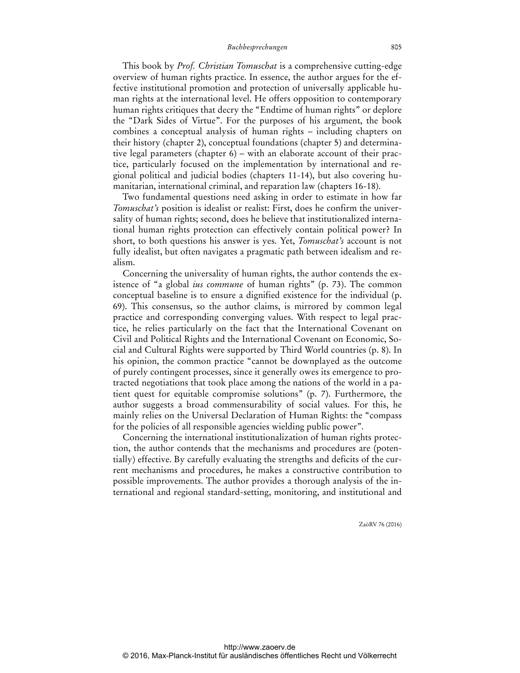This book by *Prof. Christian Tomuschat* is a comprehensive cutting-edge overview of human rights practice. In essence, the author argues for the effective institutional promotion and protection of universally applicable human rights at the international level. He offers opposition to contemporary human rights critiques that decry the "Endtime of human rights" or deplore the "Dark Sides of Virtue". For the purposes of his argument, the book combines a conceptual analysis of human rights – including chapters on their history (chapter 2), conceptual foundations (chapter 5) and determinative legal parameters (chapter 6) – with an elaborate account of their practice, particularly focused on the implementation by international and regional political and judicial bodies (chapters 11-14), but also covering humanitarian, international criminal, and reparation law (chapters 16-18).

Two fundamental questions need asking in order to estimate in how far *Tomuschat's* position is idealist or realist: First, does he confirm the universality of human rights; second, does he believe that institutionalized international human rights protection can effectively contain political power? In short, to both questions his answer is yes. Yet, *Tomuschat's* account is not fully idealist, but often navigates a pragmatic path between idealism and realism.

Concerning the universality of human rights, the author contends the existence of "a global *ius commune* of human rights" (p. 73). The common conceptual baseline is to ensure a dignified existence for the individual (p. 69). This consensus, so the author claims, is mirrored by common legal practice and corresponding converging values. With respect to legal practice, he relies particularly on the fact that the International Covenant on Civil and Political Rights and the International Covenant on Economic, Social and Cultural Rights were supported by Third World countries (p. 8). In his opinion, the common practice "cannot be downplayed as the outcome of purely contingent processes, since it generally owes its emergence to protracted negotiations that took place among the nations of the world in a patient quest for equitable compromise solutions" (p. 7). Furthermore, the author suggests a broad commensurability of social values. For this, he mainly relies on the Universal Declaration of Human Rights: the "compass for the policies of all responsible agencies wielding public power".

Concerning the international institutionalization of human rights protection, the author contends that the mechanisms and procedures are (potentially) effective. By carefully evaluating the strengths and deficits of the current mechanisms and procedures, he makes a constructive contribution to possible improvements. The author provides a thorough analysis of the international and regional standard-setting, monitoring, and institutional and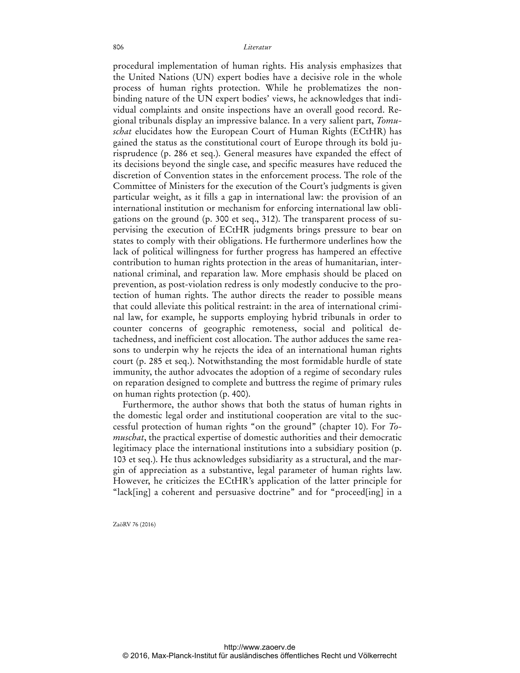procedural implementation of human rights. His analysis emphasizes that the United Nations (UN) expert bodies have a decisive role in the whole process of human rights protection. While he problematizes the nonbinding nature of the UN expert bodies' views, he acknowledges that individual complaints and onsite inspections have an overall good record. Regional tribunals display an impressive balance. In a very salient part, *Tomuschat* elucidates how the European Court of Human Rights (ECtHR) has gained the status as the constitutional court of Europe through its bold jurisprudence (p. 286 et seq.). General measures have expanded the effect of its decisions beyond the single case, and specific measures have reduced the discretion of Convention states in the enforcement process. The role of the Committee of Ministers for the execution of the Court's judgments is given particular weight, as it fills a gap in international law: the provision of an international institution or mechanism for enforcing international law obligations on the ground (p. 300 et seq., 312). The transparent process of supervising the execution of ECtHR judgments brings pressure to bear on states to comply with their obligations. He furthermore underlines how the lack of political willingness for further progress has hampered an effective contribution to human rights protection in the areas of humanitarian, international criminal, and reparation law. More emphasis should be placed on prevention, as post-violation redress is only modestly conducive to the protection of human rights. The author directs the reader to possible means that could alleviate this political restraint: in the area of international criminal law, for example, he supports employing hybrid tribunals in order to counter concerns of geographic remoteness, social and political detachedness, and inefficient cost allocation. The author adduces the same reasons to underpin why he rejects the idea of an international human rights court (p. 285 et seq.). Notwithstanding the most formidable hurdle of state immunity, the author advocates the adoption of a regime of secondary rules on reparation designed to complete and buttress the regime of primary rules on human rights protection (p. 400).

Furthermore, the author shows that both the status of human rights in the domestic legal order and institutional cooperation are vital to the successful protection of human rights "on the ground" (chapter 10). For *Tomuschat*, the practical expertise of domestic authorities and their democratic legitimacy place the international institutions into a subsidiary position (p. 103 et seq.). He thus acknowledges subsidiarity as a structural, and the margin of appreciation as a substantive, legal parameter of human rights law. However, he criticizes the ECtHR's application of the latter principle for "lack[ing] a coherent and persuasive doctrine" and for "proceed[ing] in a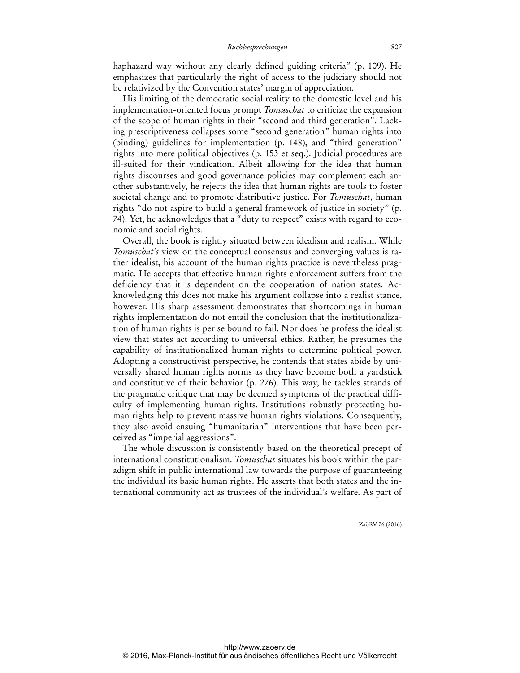haphazard way without any clearly defined guiding criteria" (p. 109). He emphasizes that particularly the right of access to the judiciary should not be relativized by the Convention states' margin of appreciation.

His limiting of the democratic social reality to the domestic level and his implementation-oriented focus prompt *Tomuschat* to criticize the expansion of the scope of human rights in their "second and third generation". Lacking prescriptiveness collapses some "second generation" human rights into (binding) guidelines for implementation (p. 148), and "third generation" rights into mere political objectives (p. 153 et seq.). Judicial procedures are ill-suited for their vindication. Albeit allowing for the idea that human rights discourses and good governance policies may complement each another substantively, he rejects the idea that human rights are tools to foster societal change and to promote distributive justice. For *Tomuschat*, human rights "do not aspire to build a general framework of justice in society" (p. 74). Yet, he acknowledges that a "duty to respect" exists with regard to economic and social rights.

Overall, the book is rightly situated between idealism and realism. While *Tomuschat's* view on the conceptual consensus and converging values is rather idealist, his account of the human rights practice is nevertheless pragmatic. He accepts that effective human rights enforcement suffers from the deficiency that it is dependent on the cooperation of nation states. Acknowledging this does not make his argument collapse into a realist stance, however. His sharp assessment demonstrates that shortcomings in human rights implementation do not entail the conclusion that the institutionalization of human rights is per se bound to fail. Nor does he profess the idealist view that states act according to universal ethics. Rather, he presumes the capability of institutionalized human rights to determine political power. Adopting a constructivist perspective, he contends that states abide by universally shared human rights norms as they have become both a yardstick and constitutive of their behavior (p. 276). This way, he tackles strands of the pragmatic critique that may be deemed symptoms of the practical difficulty of implementing human rights. Institutions robustly protecting human rights help to prevent massive human rights violations. Consequently, they also avoid ensuing "humanitarian" interventions that have been perceived as "imperial aggressions".

The whole discussion is consistently based on the theoretical precept of international constitutionalism. *Tomuschat* situates his book within the paradigm shift in public international law towards the purpose of guaranteeing the individual its basic human rights. He asserts that both states and the international community act as trustees of the individual's welfare. As part of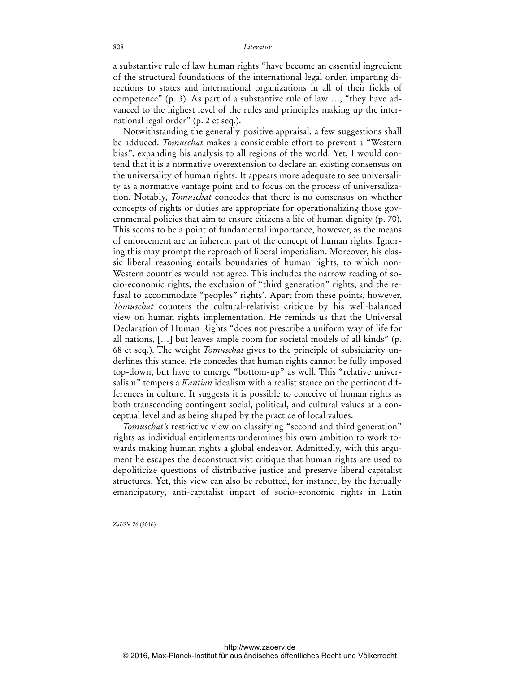a substantive rule of law human rights "have become an essential ingredient of the structural foundations of the international legal order, imparting directions to states and international organizations in all of their fields of competence" (p. 3). As part of a substantive rule of law …, "they have advanced to the highest level of the rules and principles making up the international legal order" (p. 2 et seq.).

Notwithstanding the generally positive appraisal, a few suggestions shall be adduced. *Tomuschat* makes a considerable effort to prevent a "Western bias", expanding his analysis to all regions of the world. Yet, I would contend that it is a normative overextension to declare an existing consensus on the universality of human rights. It appears more adequate to see universality as a normative vantage point and to focus on the process of universalization. Notably, *Tomuschat* concedes that there is no consensus on whether concepts of rights or duties are appropriate for operationalizing those governmental policies that aim to ensure citizens a life of human dignity (p. 70). This seems to be a point of fundamental importance, however, as the means of enforcement are an inherent part of the concept of human rights. Ignoring this may prompt the reproach of liberal imperialism. Moreover, his classic liberal reasoning entails boundaries of human rights, to which non-Western countries would not agree. This includes the narrow reading of socio-economic rights, the exclusion of "third generation" rights, and the refusal to accommodate "peoples" rights'. Apart from these points, however, *Tomuschat* counters the cultural-relativist critique by his well-balanced view on human rights implementation. He reminds us that the Universal Declaration of Human Rights "does not prescribe a uniform way of life for all nations, […] but leaves ample room for societal models of all kinds" (p. 68 et seq.). The weight *Tomuschat* gives to the principle of subsidiarity underlines this stance. He concedes that human rights cannot be fully imposed top-down, but have to emerge "bottom-up" as well. This "relative universalism" tempers a *Kantian* idealism with a realist stance on the pertinent differences in culture. It suggests it is possible to conceive of human rights as both transcending contingent social, political, and cultural values at a conceptual level and as being shaped by the practice of local values.

*Tomuschat's* restrictive view on classifying "second and third generation" rights as individual entitlements undermines his own ambition to work towards making human rights a global endeavor. Admittedly, with this argument he escapes the deconstructivist critique that human rights are used to depoliticize questions of distributive justice and preserve liberal capitalist structures. Yet, this view can also be rebutted, for instance, by the factually emancipatory, anti-capitalist impact of socio-economic rights in Latin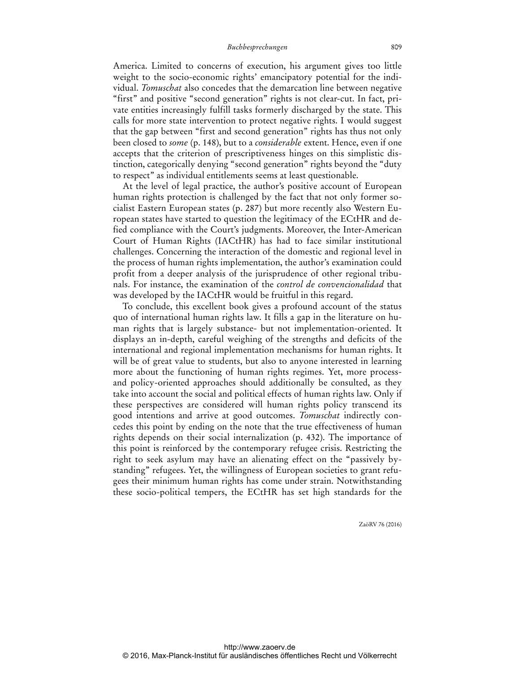America. Limited to concerns of execution, his argument gives too little weight to the socio-economic rights' emancipatory potential for the individual. *Tomuschat* also concedes that the demarcation line between negative "first" and positive "second generation" rights is not clear-cut. In fact, private entities increasingly fulfill tasks formerly discharged by the state. This calls for more state intervention to protect negative rights. I would suggest that the gap between "first and second generation" rights has thus not only been closed to *some* (p. 148), but to a *considerable* extent. Hence, even if one accepts that the criterion of prescriptiveness hinges on this simplistic distinction, categorically denying "second generation" rights beyond the "duty to respect" as individual entitlements seems at least questionable.

At the level of legal practice, the author's positive account of European human rights protection is challenged by the fact that not only former socialist Eastern European states (p. 287) but more recently also Western European states have started to question the legitimacy of the ECtHR and defied compliance with the Court's judgments. Moreover, the Inter-American Court of Human Rights (IACtHR) has had to face similar institutional challenges. Concerning the interaction of the domestic and regional level in the process of human rights implementation, the author's examination could profit from a deeper analysis of the jurisprudence of other regional tribunals. For instance, the examination of the *control de convencionalidad* that was developed by the IACtHR would be fruitful in this regard.

To conclude, this excellent book gives a profound account of the status quo of international human rights law. It fills a gap in the literature on human rights that is largely substance- but not implementation-oriented. It displays an in-depth, careful weighing of the strengths and deficits of the international and regional implementation mechanisms for human rights. It will be of great value to students, but also to anyone interested in learning more about the functioning of human rights regimes. Yet, more processand policy-oriented approaches should additionally be consulted, as they take into account the social and political effects of human rights law. Only if these perspectives are considered will human rights policy transcend its good intentions and arrive at good outcomes. *Tomuschat* indirectly concedes this point by ending on the note that the true effectiveness of human rights depends on their social internalization (p. 432). The importance of this point is reinforced by the contemporary refugee crisis. Restricting the right to seek asylum may have an alienating effect on the "passively bystanding" refugees. Yet, the willingness of European societies to grant refugees their minimum human rights has come under strain. Notwithstanding these socio-political tempers, the ECtHR has set high standards for the